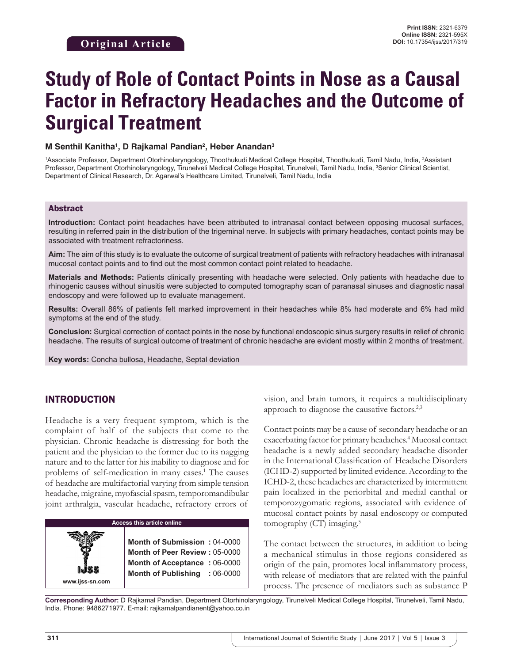# **Study of Role of Contact Points in Nose as a Causal Factor in Refractory Headaches and the Outcome of Surgical Treatment**

## **M Senthil Kanitha1 , D Rajkamal Pandian2 , Heber Anandan3**

<sup>1</sup>Associate Professor, Department Otorhinolaryngology, Thoothukudi Medical College Hospital, Thoothukudi, Tamil Nadu, India, <sup>2</sup>Assistant Professor, Department Otorhinolaryngology, Tirunelveli Medical College Hospital, Tirunelveli, Tamil Nadu, India, <sup>3</sup>Senior Clinical Scientist, Department of Clinical Research, Dr. Agarwal's Healthcare Limited, Tirunelveli, Tamil Nadu, India

## Abstract

**Introduction:** Contact point headaches have been attributed to intranasal contact between opposing mucosal surfaces, resulting in referred pain in the distribution of the trigeminal nerve. In subjects with primary headaches, contact points may be associated with treatment refractoriness.

**Aim:** The aim of this study is to evaluate the outcome of surgical treatment of patients with refractory headaches with intranasal mucosal contact points and to find out the most common contact point related to headache.

**Materials and Methods:** Patients clinically presenting with headache were selected. Only patients with headache due to rhinogenic causes without sinusitis were subjected to computed tomography scan of paranasal sinuses and diagnostic nasal endoscopy and were followed up to evaluate management.

**Results:** Overall 86% of patients felt marked improvement in their headaches while 8% had moderate and 6% had mild symptoms at the end of the study.

**Conclusion:** Surgical correction of contact points in the nose by functional endoscopic sinus surgery results in relief of chronic headache. The results of surgical outcome of treatment of chronic headache are evident mostly within 2 months of treatment.

**Key words:** Concha bullosa, Headache, Septal deviation

## INTRODUCTION

Headache is a very frequent symptom, which is the complaint of half of the subjects that come to the physician. Chronic headache is distressing for both the patient and the physician to the former due to its nagging nature and to the latter for his inability to diagnose and for problems of self-medication in many cases.<sup>1</sup> The causes of headache are multifactorial varying from simple tension headache, migraine, myofascial spasm, temporomandibular joint arthralgia, vascular headache, refractory errors of

# **Access this article online www.ijss-sn.com Month of Submission :** 04-0000 **Month of Peer Review :** 05-0000 **Month of Acceptance :** 06-0000 **Month of Publishing :** 06-0000

vision, and brain tumors, it requires a multidisciplinary approach to diagnose the causative factors.<sup>2,3</sup>

Contact points may be a cause of secondary headache or an exacerbating factor for primary headaches.<sup>4</sup> Mucosal contact headache is a newly added secondary headache disorder in the International Classification of Headache Disorders (ICHD-2) supported by limited evidence. According to the ICHD-2, these headaches are characterized by intermittent pain localized in the periorbital and medial canthal or temporozygomatic regions, associated with evidence of mucosal contact points by nasal endoscopy or computed tomography (CT) imaging.<sup>5</sup>

The contact between the structures, in addition to being a mechanical stimulus in those regions considered as origin of the pain, promotes local inflammatory process, with release of mediators that are related with the painful process. The presence of mediators such as substance P

**Corresponding Author:** D Rajkamal Pandian, Department Otorhinolaryngology, Tirunelveli Medical College Hospital, Tirunelveli, Tamil Nadu, India. Phone: 9486271977. E-mail: rajkamalpandianent@yahoo.co.in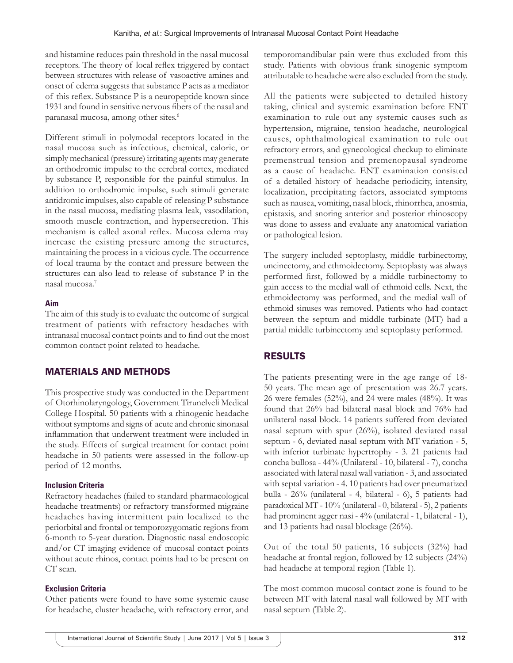and histamine reduces pain threshold in the nasal mucosal receptors. The theory of local reflex triggered by contact between structures with release of vasoactive amines and onset of edema suggests that substance P acts as a mediator of this reflex. Substance P is a neuropeptide known since 1931 and found in sensitive nervous fibers of the nasal and paranasal mucosa, among other sites.<sup>6</sup>

Different stimuli in polymodal receptors located in the nasal mucosa such as infectious, chemical, caloric, or simply mechanical (pressure) irritating agents may generate an orthodromic impulse to the cerebral cortex, mediated by substance P, responsible for the painful stimulus. In addition to orthodromic impulse, such stimuli generate antidromic impulses, also capable of releasing P substance in the nasal mucosa, mediating plasma leak, vasodilation, smooth muscle contraction, and hypersecretion. This mechanism is called axonal reflex. Mucosa edema may increase the existing pressure among the structures, maintaining the process in a vicious cycle. The occurrence of local trauma by the contact and pressure between the structures can also lead to release of substance P in the nasal mucosa.7

## **Aim**

The aim of this study is to evaluate the outcome of surgical treatment of patients with refractory headaches with intranasal mucosal contact points and to find out the most common contact point related to headache.

# MATERIALS AND METHODS

This prospective study was conducted in the Department of Otorhinolaryngology, Government Tirunelveli Medical College Hospital. 50 patients with a rhinogenic headache without symptoms and signs of acute and chronic sinonasal inflammation that underwent treatment were included in the study. Effects of surgical treatment for contact point headache in 50 patients were assessed in the follow-up period of 12 months.

## **Inclusion Criteria**

Refractory headaches (failed to standard pharmacological headache treatments) or refractory transformed migraine headaches having intermittent pain localized to the periorbital and frontal or temporozygomatic regions from 6-month to 5-year duration. Diagnostic nasal endoscopic and/or CT imaging evidence of mucosal contact points without acute rhinos, contact points had to be present on CT scan.

## **Exclusion Criteria**

Other patients were found to have some systemic cause for headache, cluster headache, with refractory error, and temporomandibular pain were thus excluded from this study. Patients with obvious frank sinogenic symptom attributable to headache were also excluded from the study.

All the patients were subjected to detailed history taking, clinical and systemic examination before ENT examination to rule out any systemic causes such as hypertension, migraine, tension headache, neurological causes, ophthalmological examination to rule out refractory errors, and gynecological checkup to eliminate premenstrual tension and premenopausal syndrome as a cause of headache. ENT examination consisted of a detailed history of headache periodicity, intensity, localization, precipitating factors, associated symptoms such as nausea, vomiting, nasal block, rhinorrhea, anosmia, epistaxis, and snoring anterior and posterior rhinoscopy was done to assess and evaluate any anatomical variation or pathological lesion.

The surgery included septoplasty, middle turbinectomy, uncinectomy, and ethmoidectomy. Septoplasty was always performed first, followed by a middle turbinectomy to gain access to the medial wall of ethmoid cells. Next, the ethmoidectomy was performed, and the medial wall of ethmoid sinuses was removed. Patients who had contact between the septum and middle turbinate (MT) had a partial middle turbinectomy and septoplasty performed.

# RESULTS

The patients presenting were in the age range of 18- 50 years. The mean age of presentation was 26.7 years. 26 were females (52%), and 24 were males (48%). It was found that 26% had bilateral nasal block and 76% had unilateral nasal block. 14 patients suffered from deviated nasal septum with spur (26%), isolated deviated nasal septum - 6, deviated nasal septum with MT variation - 5, with inferior turbinate hypertrophy - 3. 21 patients had concha bullosa - 44% (Unilateral - 10, bilateral - 7), concha associated with lateral nasal wall variation - 3, and associated with septal variation - 4. 10 patients had over pneumatized bulla - 26% (unilateral - 4, bilateral - 6), 5 patients had paradoxical MT - 10% (unilateral - 0, bilateral - 5), 2 patients had prominent agger nasi - 4% (unilateral - 1, bilateral - 1), and 13 patients had nasal blockage (26%).

Out of the total 50 patients, 16 subjects (32%) had headache at frontal region, followed by 12 subjects (24%) had headache at temporal region (Table 1).

The most common mucosal contact zone is found to be between MT with lateral nasal wall followed by MT with nasal septum (Table 2).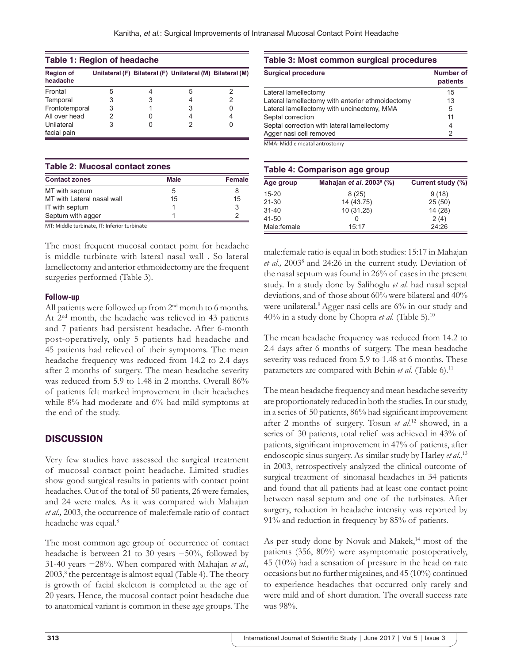| <b>Table 1: Region of headache</b> |   |   |                                                           |  |
|------------------------------------|---|---|-----------------------------------------------------------|--|
| <b>Region of</b><br>headache       |   |   | Unilateral (F) Bilateral (F) Unilateral (M) Bilateral (M) |  |
| Frontal                            | 5 |   | 5                                                         |  |
| Temporal                           | 3 | 3 |                                                           |  |
| Frontotemporal                     | 3 |   | 3                                                         |  |
| All over head                      | 2 |   |                                                           |  |
| Unilateral<br>facial pain          | 3 |   |                                                           |  |

#### **Table 2: Mucosal contact zones**

| <b>Contact zones</b>       | <b>Male</b> | <b>Female</b> |
|----------------------------|-------------|---------------|
| MT with septum             |             | 8             |
| MT with Lateral nasal wall | 15          | 15            |
| IT with septum             |             | 3             |
| Septum with agger          |             |               |

MT: Middle turbinate, IT: Inferior turbinate

The most frequent mucosal contact point for headache is middle turbinate with lateral nasal wall . So lateral lamellectomy and anterior ethmoidectomy are the frequent surgeries performed (Table 3).

## **Follow-up**

All patients were followed up from  $2<sup>nd</sup>$  month to 6 months. At 2nd month, the headache was relieved in 43 patients and 7 patients had persistent headache. After 6-month post-operatively, only 5 patients had headache and 45 patients had relieved of their symptoms. The mean headache frequency was reduced from 14.2 to 2.4 days after 2 months of surgery. The mean headache severity was reduced from 5.9 to 1.48 in 2 months. Overall 86% of patients felt marked improvement in their headaches while 8% had moderate and 6% had mild symptoms at the end of the study.

# **DISCUSSION**

Very few studies have assessed the surgical treatment of mucosal contact point headache. Limited studies show good surgical results in patients with contact point headaches. Out of the total of 50 patients, 26 were females, and 24 were males. As it was compared with Mahajan *et al.,* 2003, the occurrence of male:female ratio of contact headache was equal.<sup>8</sup>

The most common age group of occurrence of contact headache is between 21 to 30 years −50%, followed by 31-40 years −28%. When compared with Mahajan *et al.,* 2003,<sup>8</sup> the percentage is almost equal (Table 4). The theory is growth of facial skeleton is completed at the age of 20 years. Hence, the mucosal contact point headache due to anatomical variant is common in these age groups. The

#### **Table 3: Most common surgical procedures**

| <b>Surgical procedure</b>                        | Number of<br>patients |
|--------------------------------------------------|-----------------------|
| Lateral lamellectomy                             | 15                    |
| Lateral lamellectomy with anterior ethmoidectomy | 13                    |
| Lateral lamellectomy with uncinectomy, MMA       | 5                     |
| Septal correction                                | 11                    |
| Septal correction with lateral lamellectomy      | 4                     |
| Agger nasi cell removed                          | $\mathfrak{p}$        |
| MMA · Middle meatal antrostomy                   |                       |

MMA: Middle meatal antrostomy

| <b>Table 4: Comparison age group</b> |                                      |                   |  |
|--------------------------------------|--------------------------------------|-------------------|--|
| Age group                            | Mahajan et al. 2003 <sup>8</sup> (%) | Current study (%) |  |
| $15 - 20$                            | 8(25)                                | 9(18)             |  |
| $21 - 30$                            | 14 (43.75)                           | 25(50)            |  |
| $31 - 40$                            | 10 (31.25)                           | 14 (28)           |  |
| 41-50                                |                                      | 2(4)              |  |
| Male:female                          | 15:17                                | 24:26             |  |

male:female ratio is equal in both studies: 15:17 in Mahajan et al., 2003<sup>8</sup> and 24:26 in the current study. Deviation of the nasal septum was found in 26% of cases in the present study. In a study done by Salihoglu *et al*. had nasal septal deviations, and of those about 60% were bilateral and 40% were unilateral.9 Agger nasi cells are 6% in our study and 40% in a study done by Chopra *et al*. (Table 5).10

The mean headache frequency was reduced from 14.2 to 2.4 days after 6 months of surgery. The mean headache severity was reduced from 5.9 to 1.48 at 6 months. These parameters are compared with Behin et al. (Table 6).<sup>11</sup>

The mean headache frequency and mean headache severity are proportionately reduced in both the studies. In our study, in a series of 50 patients, 86% had significant improvement after 2 months of surgery. Tosun *et al*. 12 showed, in a series of 30 patients, total relief was achieved in 43% of patients, significant improvement in 47% of patients, after endoscopic sinus surgery. As similar study by Harley *et al.*,<sup>13</sup> in 2003, retrospectively analyzed the clinical outcome of surgical treatment of sinonasal headaches in 34 patients and found that all patients had at least one contact point between nasal septum and one of the turbinates. After surgery, reduction in headache intensity was reported by 91% and reduction in frequency by 85% of patients.

As per study done by Novak and Makek, $14$  most of the patients (356, 80%) were asymptomatic postoperatively, 45 (10%) had a sensation of pressure in the head on rate occasions but no further migraines, and 45 (10%) continued to experience headaches that occurred only rarely and were mild and of short duration. The overall success rate was 98%.